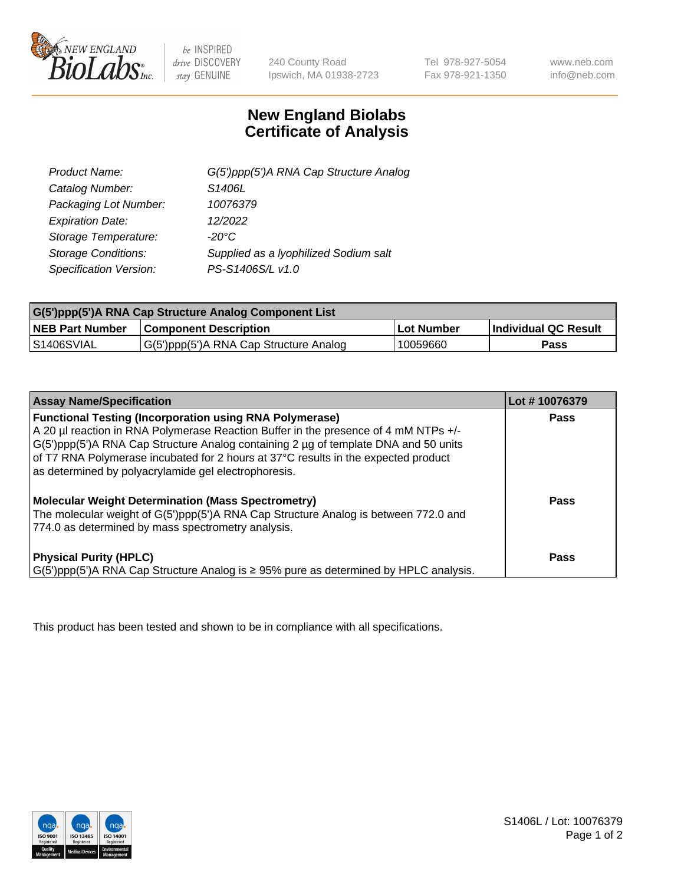

 $be$  INSPIRED drive DISCOVERY stay GENUINE

240 County Road Ipswich, MA 01938-2723

Tel 978-927-5054 Fax 978-921-1350 www.neb.com info@neb.com

## **New England Biolabs Certificate of Analysis**

| G(5')ppp(5')A RNA Cap Structure Analog |
|----------------------------------------|
| S1406L                                 |
| 10076379                               |
| 12/2022                                |
| $-20^{\circ}$ C                        |
| Supplied as a lyophilized Sodium salt  |
| PS-S1406S/L v1.0                       |
|                                        |

| G(5')ppp(5')A RNA Cap Structure Analog Component List |                                        |            |                             |  |
|-------------------------------------------------------|----------------------------------------|------------|-----------------------------|--|
| <b>NEB Part Number</b>                                | <b>Component Description</b>           | Lot Number | <b>Individual QC Result</b> |  |
| IS1406SVIAL                                           | G(5')ppp(5')A RNA Cap Structure Analog | 10059660   | Pass                        |  |

| <b>Assay Name/Specification</b>                                                                                                                                                                                                                                                                                                                                                            | Lot #10076379 |
|--------------------------------------------------------------------------------------------------------------------------------------------------------------------------------------------------------------------------------------------------------------------------------------------------------------------------------------------------------------------------------------------|---------------|
| <b>Functional Testing (Incorporation using RNA Polymerase)</b><br>A 20 µl reaction in RNA Polymerase Reaction Buffer in the presence of 4 mM NTPs +/-<br>G(5')ppp(5')A RNA Cap Structure Analog containing 2 µg of template DNA and 50 units<br>of T7 RNA Polymerase incubated for 2 hours at 37°C results in the expected product<br>as determined by polyacrylamide gel electrophoresis. | Pass          |
| <b>Molecular Weight Determination (Mass Spectrometry)</b><br>The molecular weight of G(5')ppp(5')A RNA Cap Structure Analog is between 772.0 and<br>774.0 as determined by mass spectrometry analysis.                                                                                                                                                                                     | Pass          |
| <b>Physical Purity (HPLC)</b><br>$G(5')$ ppp $(5')$ A RNA Cap Structure Analog is $\geq 95\%$ pure as determined by HPLC analysis.                                                                                                                                                                                                                                                         | Pass          |

This product has been tested and shown to be in compliance with all specifications.